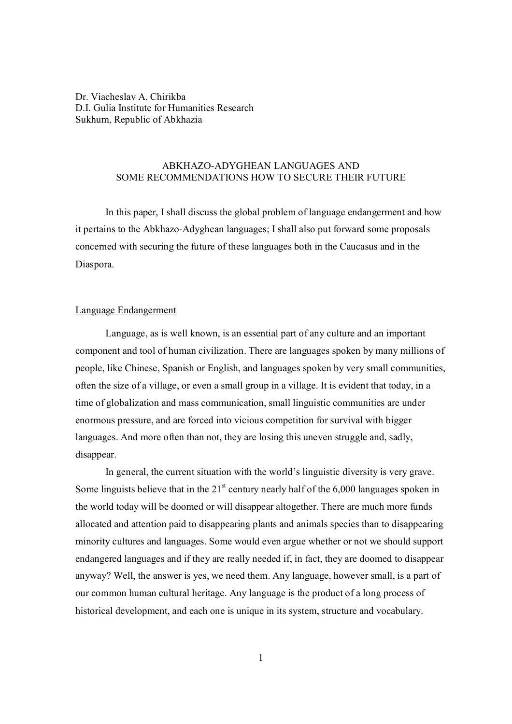Dr. Viacheslav A. Chirikba D.I. Gulia Institute for Humanities Research Sukhum, Republic of Abkhazia

# ABKHAZO-ADYGHEAN LANGUAGES AND SOME RECOMMENDATIONS HOW TO SECURE THEIR FUTURE

In this paper, I shall discuss the global problem of language endangerment and how it pertains to the Abkhazo-Adyghean languages; I shall also put forward some proposals concerned with securing the future of these languages both in the Caucasus and in the Diaspora.

# Language Endangerment

Language, as is well known, is an essential part of any culture and an important component and tool of human civilization. There are languages spoken by many millions of people, like Chinese, Spanish or English, and languages spoken by very small communities, often the size of a village, or even a small group in a village. It is evident that today, in a time of globalization and mass communication, small linguistic communities are under enormous pressure, and are forced into vicious competition for survival with bigger languages. And more often than not, they are losing this uneven struggle and, sadly, disappear.

In general, the current situation with the world's linguistic diversity is very grave. Some linguists believe that in the  $21<sup>st</sup>$  century nearly half of the 6,000 languages spoken in the world today will be doomed or will disappear altogether. There are much more funds allocated and attention paid to disappearing plants and animals species than to disappearing minority cultures and languages. Some would even argue whether or not we should support endangered languages and if they are really needed if, in fact, they are doomed to disappear anyway? Well, the answer is yes, we need them. Any language, however small, is a part of our common human cultural heritage. Any language is the product of a long process of historical development, and each one is unique in its system, structure and vocabulary.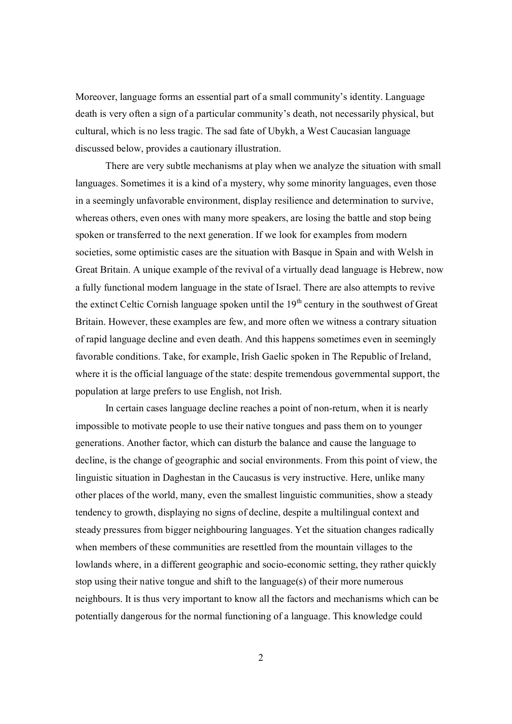Moreover, language forms an essential part of a small community's identity. Language death is very often a sign of a particular community's death, not necessarily physical, but cultural, which is no less tragic. The sad fate of Ubykh, a West Caucasian language discussed below, provides a cautionary illustration.

There are very subtle mechanisms at play when we analyze the situation with small languages. Sometimes it is a kind of a mystery, why some minority languages, even those in a seemingly unfavorable environment, display resilience and determination to survive, whereas others, even ones with many more speakers, are losing the battle and stop being spoken or transferred to the next generation. If we look for examples from modern societies, some optimistic cases are the situation with Basque in Spain and with Welsh in Great Britain. A unique example of the revival of a virtually dead language is Hebrew, now a fully functional modern language in the state of Israel. There are also attempts to revive the extinct Celtic Cornish language spoken until the  $19<sup>th</sup>$  century in the southwest of Great Britain. However, these examples are few, and more often we witness a contrary situation of rapid language decline and even death. And this happens sometimes even in seemingly favorable conditions. Take, for example, Irish Gaelic spoken in The Republic of Ireland, where it is the official language of the state: despite tremendous governmental support, the population at large prefers to use English, not Irish.

In certain cases language decline reaches a point of non-return, when it is nearly impossible to motivate people to use their native tongues and pass them on to younger generations. Another factor, which can disturb the balance and cause the language to decline, is the change of geographic and social environments. From this point of view, the linguistic situation in Daghestan in the Caucasus is very instructive. Here, unlike many other places of the world, many, even the smallest linguistic communities, show a steady tendency to growth, displaying no signs of decline, despite a multilingual context and steady pressures from bigger neighbouring languages. Yet the situation changes radically when members of these communities are resettled from the mountain villages to the lowlands where, in a different geographic and socio-economic setting, they rather quickly stop using their native tongue and shift to the language(s) of their more numerous neighbours. It is thus very important to know all the factors and mechanisms which can be potentially dangerous for the normal functioning of a language. This knowledge could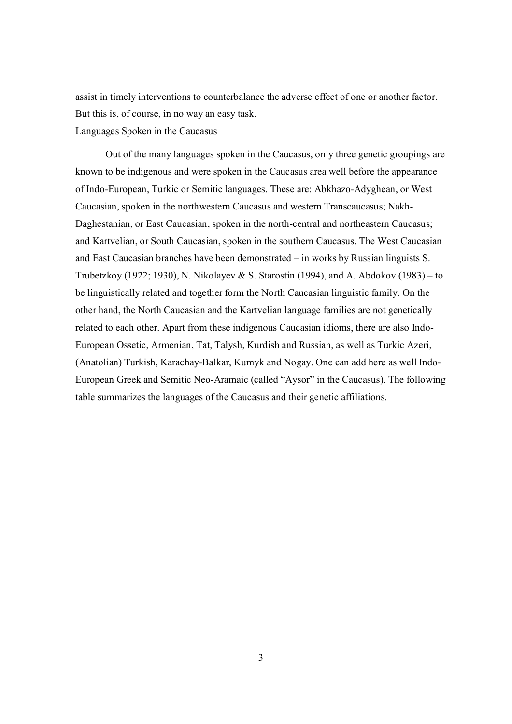assist in timely interventions to counterbalance the adverse effect of one or another factor. But this is, of course, in no way an easy task. Languages Spoken in the Caucasus

Out of the many languages spoken in the Caucasus, only three genetic groupings are known to be indigenous and were spoken in the Caucasus area well before the appearance of Indo-European, Turkic or Semitic languages. These are: Abkhazo-Adyghean, or West Caucasian, spoken in the northwestern Caucasus and western Transcaucasus; Nakh-Daghestanian, or East Caucasian, spoken in the north-central and northeastern Caucasus; and Kartvelian, or South Caucasian, spoken in the southern Caucasus. The West Caucasian and East Caucasian branches have been demonstrated – in works by Russian linguists S. Trubetzkoy (1922; 1930), N. Nikolayev & S. Starostin (1994), and A. Abdokov (1983) – to be linguistically related and together form the North Caucasian linguistic family. On the other hand, the North Caucasian and the Kartvelian language families are not genetically related to each other. Apart from these indigenous Caucasian idioms, there are also Indo-European Ossetic, Armenian, Tat, Talysh, Kurdish and Russian, as well as Turkic Azeri, (Anatolian) Turkish, Karachay-Balkar, Kumyk and Nogay. One can add here as well Indo-European Greek and Semitic Neo-Aramaic (called "Aysor" in the Caucasus). The following table summarizes the languages of the Caucasus and their genetic affiliations.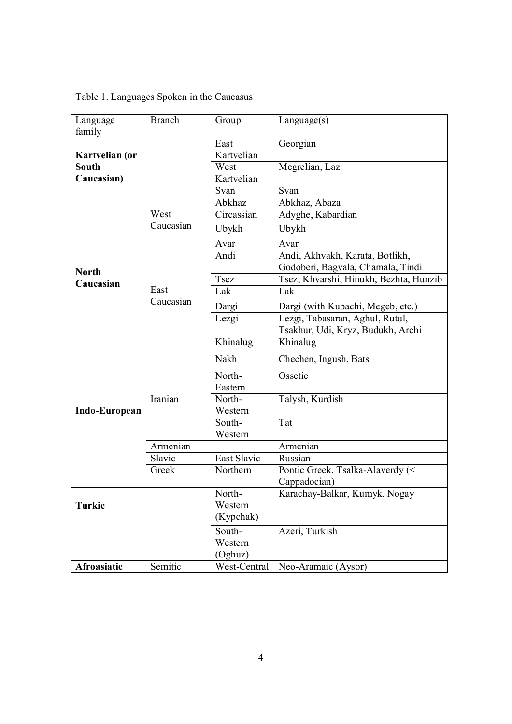# Table 1. Languages Spoken in the Caucasus

| Language<br>family        | <b>Branch</b> | Group              | Language(s)                                                          |
|---------------------------|---------------|--------------------|----------------------------------------------------------------------|
| Kartvelian (or            |               | East<br>Kartvelian | Georgian                                                             |
| <b>South</b>              |               | West               | Megrelian, Laz                                                       |
| Caucasian)                |               | Kartvelian         |                                                                      |
|                           |               | Svan               | Svan                                                                 |
|                           |               | Abkhaz             | Abkhaz, Abaza                                                        |
|                           | West          | Circassian         | Adyghe, Kabardian                                                    |
|                           | Caucasian     | Ubykh              | Ubykh                                                                |
|                           |               | Avar               | Avar                                                                 |
|                           |               | Andi               | Andi, Akhvakh, Karata, Botlikh,<br>Godoberi, Bagvala, Chamala, Tindi |
| <b>North</b><br>Caucasian |               | Tsez               | Tsez, Khvarshi, Hinukh, Bezhta, Hunzib                               |
|                           | East          | Lak                | Lak                                                                  |
|                           | Caucasian     | Dargi              | Dargi (with Kubachi, Megeb, etc.)                                    |
|                           |               | Lezgi              | Lezgi, Tabasaran, Aghul, Rutul,                                      |
|                           |               |                    | Tsakhur, Udi, Kryz, Budukh, Archi                                    |
|                           |               | Khinalug           | Khinalug                                                             |
|                           |               | Nakh               | Chechen, Ingush, Bats                                                |
|                           |               | North-             | Ossetic                                                              |
|                           | Iranian       | Eastern            |                                                                      |
|                           |               | North-             | Talysh, Kurdish                                                      |
| Indo-European             |               | Western            |                                                                      |
|                           |               | South-<br>Western  | Tat                                                                  |
|                           | Armenian      |                    | Armenian                                                             |
|                           | Slavic        | East Slavic        | Russian                                                              |
|                           | Greek         | Northern           | Pontic Greek, Tsalka-Alaverdy (<                                     |
|                           |               |                    | Cappadocian)                                                         |
|                           |               | North-             | Karachay-Balkar, Kumyk, Nogay                                        |
| Turkic                    |               | Western            |                                                                      |
|                           |               | (Kypchak)          |                                                                      |
|                           |               | South-             | Azeri, Turkish                                                       |
|                           |               | Western            |                                                                      |
|                           |               | (Oghuz)            |                                                                      |
| <b>Afroasiatic</b>        | Semitic       | West-Central       | Neo-Aramaic (Aysor)                                                  |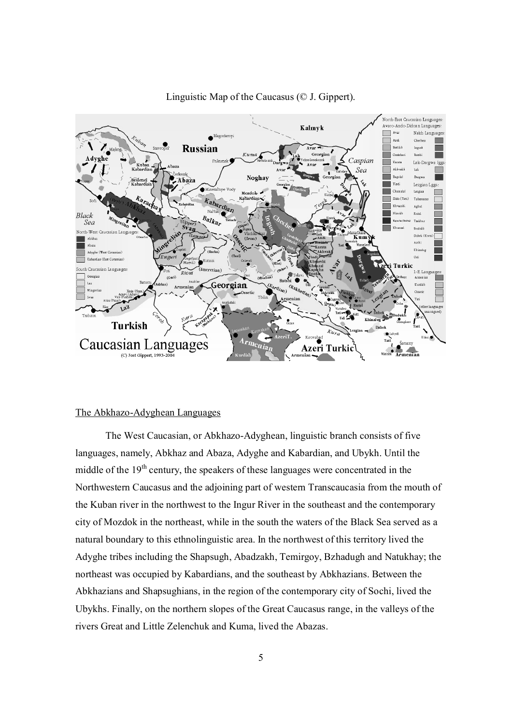

# Linguistic Map of the Caucasus (© J. Gippert).

#### The Abkhazo-Adyghean Languages

The West Caucasian, or Abkhazo-Adyghean, linguistic branch consists of five languages, namely, Abkhaz and Abaza, Adyghe and Kabardian, and Ubykh. Until the middle of the 19<sup>th</sup> century, the speakers of these languages were concentrated in the Northwestern Caucasus and the adjoining part of western Transcaucasia from the mouth of the Kuban river in the northwest to the Ingur River in the southeast and the contemporary city of Mozdok in the northeast, while in the south the waters of the Black Sea served as a natural boundary to this ethnolinguistic area. In the northwest of this territory lived the Adyghe tribes including the Shapsugh, Abadzakh, Temirgoy, Bzhadugh and Natukhay; the northeast was occupied by Kabardians, and the southeast by Abkhazians. Between the Abkhazians and Shapsughians, in the region of the contemporary city of Sochi, lived the Ubykhs. Finally, on the northern slopes of the Great Caucasus range, in the valleys of the rivers Great and Little Zelenchuk and Kuma, lived the Abazas.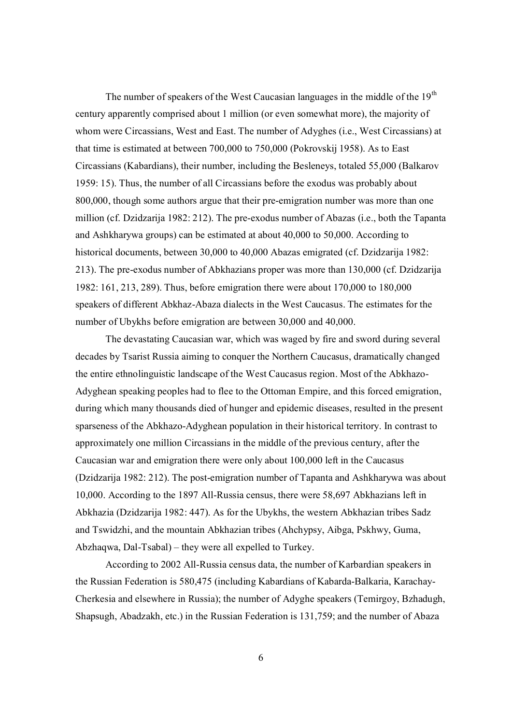The number of speakers of the West Caucasian languages in the middle of the  $19<sup>th</sup>$ century apparently comprised about 1 million (or even somewhat more), the majority of whom were Circassians, West and East. The number of Adyghes (i.e., West Circassians) at that time is estimated at between 700,000 to 750,000 (Pokrovskij 1958). As to East Circassians (Kabardians), their number, including the Besleneys, totaled 55,000 (Balkarov 1959: 15). Thus, the number of all Circassians before the exodus was probably about 800,000, though some authors argue that their pre-emigration number was more than one million (cf. Dzidzarija 1982: 212). The pre-exodus number of Abazas (i.e., both the Tapanta and Ashkharywa groups) can be estimated at about 40,000 to 50,000. According to historical documents, between 30,000 to 40,000 Abazas emigrated (cf. Dzidzarija 1982: 213). The pre-exodus number of Abkhazians proper was more than 130,000 (cf. Dzidzarija 1982: 161, 213, 289). Thus, before emigration there were about 170,000 to 180,000 speakers of different Abkhaz-Abaza dialects in the West Caucasus. The estimates for the number of Ubykhs before emigration are between 30,000 and 40,000.

The devastating Caucasian war, which was waged by fire and sword during several decades by Tsarist Russia aiming to conquer the Northern Caucasus, dramatically changed the entire ethnolinguistic landscape of the West Caucasus region. Most of the Abkhazo-Adyghean speaking peoples had to flee to the Ottoman Empire, and this forced emigration, during which many thousands died of hunger and epidemic diseases, resulted in the present sparseness of the Abkhazo-Adyghean population in their historical territory. In contrast to approximately one million Circassians in the middle of the previous century, after the Caucasian war and emigration there were only about 100,000 left in the Caucasus (Dzidzarija 1982: 212). The post-emigration number of Tapanta and Ashkharywa was about 10,000. According to the 1897 All-Russia census, there were 58,697 Abkhazians left in Abkhazia (Dzidzarija 1982: 447). As for the Ubykhs, the western Abkhazian tribes Sadz and Tswidzhi, and the mountain Abkhazian tribes (Ahchypsy, Aibga, Pskhwy, Guma, Abzhaqwa, Dal-Tsabal) – they were all expelled to Turkey.

According to 2002 All-Russia census data, the number of Karbardian speakers in the Russian Federation is 580,475 (including Kabardians of Kabarda-Balkaria, Karachay-Cherkesia and elsewhere in Russia); the number of Adyghe speakers (Temirgoy, Bzhadugh, Shapsugh, Abadzakh, etc.) in the Russian Federation is 131,759; and the number of Abaza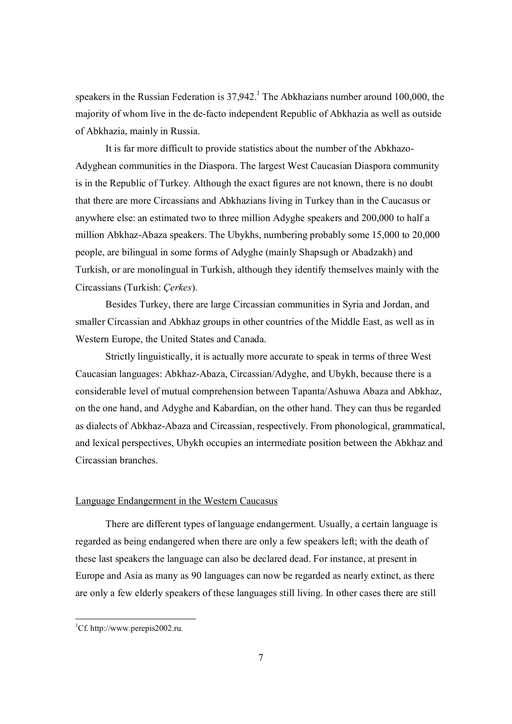speakers in the Russian Federation is  $37,942$ .<sup>1</sup> The Abkhazians number around 100,000, the majority of whom live in the de-facto independent Republic of Abkhazia as well as outside of Abkhazia, mainly in Russia.

It is far more difficult to provide statistics about the number of the Abkhazo-Adyghean communities in the Diaspora. The largest West Caucasian Diaspora community is in the Republic of Turkey. Although the exact figures are not known, there is no doubt that there are more Circassians and Abkhazians living in Turkey than in the Caucasus or anywhere else: an estimated two to three million Adyghe speakers and 200,000 to half a million Abkhaz-Abaza speakers. The Ubykhs, numbering probably some 15,000 to 20,000 people, are bilingual in some forms of Adyghe (mainly Shapsugh or Abadzakh) and Turkish, or are monolingual in Turkish, although they identify themselves mainly with the Circassians (Turkish: *Çerkes*).

Besides Turkey, there are large Circassian communities in Syria and Jordan, and smaller Circassian and Abkhaz groups in other countries of the Middle East, as well as in Western Europe, the United States and Canada.

Strictly linguistically, it is actually more accurate to speak in terms of three West Caucasian languages: Abkhaz-Abaza, Circassian/Adyghe, and Ubykh, because there is a considerable level of mutual comprehension between Tapanta/Ashuwa Abaza and Abkhaz, on the one hand, and Adyghe and Kabardian, on the other hand. They can thus be regarded as dialects of Abkhaz-Abaza and Circassian, respectively. From phonological, grammatical, and lexical perspectives, Ubykh occupies an intermediate position between the Abkhaz and Circassian branches.

# Language Endangerment in the Western Caucasus

There are different types of language endangerment. Usually, a certain language is regarded as being endangered when there are only a few speakers left; with the death of these last speakers the language can also be declared dead. For instance, at present in Europe and Asia as many as 90 languages can now be regarded as nearly extinct, as there are only a few elderly speakers of these languages still living. In other cases there are still

<sup>-</sup><sup>1</sup>Cf. http://www.perepis2002.ru.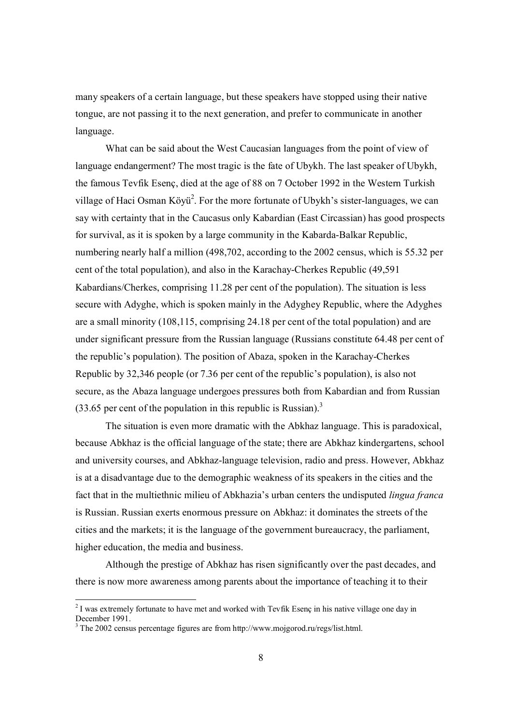many speakers of a certain language, but these speakers have stopped using their native tongue, are not passing it to the next generation, and prefer to communicate in another language.

What can be said about the West Caucasian languages from the point of view of language endangerment? The most tragic is the fate of Ubykh. The last speaker of Ubykh, the famous Tevfik Esenç, died at the age of 88 on 7 October 1992 in the Western Turkish village of Haci Osman Köyü<sup>2</sup>. For the more fortunate of Ubykh's sister-languages, we can say with certainty that in the Caucasus only Kabardian (East Circassian) has good prospects for survival, as it is spoken by a large community in the Kabarda-Balkar Republic, numbering nearly half a million (498,702, according to the 2002 census, which is 55.32 per cent of the total population), and also in the Karachay-Cherkes Republic (49,591 Kabardians/Cherkes, comprising 11.28 per cent of the population). The situation is less secure with Adyghe, which is spoken mainly in the Adyghey Republic, where the Adyghes are a small minority (108,115, comprising 24.18 per cent of the total population) and are under significant pressure from the Russian language (Russians constitute 64.48 per cent of the republic's population). The position of Abaza, spoken in the Karachay-Cherkes Republic by 32,346 people (or 7.36 per cent of the republic's population), is also not secure, as the Abaza language undergoes pressures both from Kabardian and from Russian  $(33.65$  per cent of the population in this republic is Russian).<sup>3</sup>

The situation is even more dramatic with the Abkhaz language. This is paradoxical, because Abkhaz is the official language of the state; there are Abkhaz kindergartens, school and university courses, and Abkhaz-language television, radio and press. However, Abkhaz is at a disadvantage due to the demographic weakness of its speakers in the cities and the fact that in the multiethnic milieu of Abkhazia's urban centers the undisputed *lingua franca* is Russian. Russian exerts enormous pressure on Abkhaz: it dominates the streets of the cities and the markets; it is the language of the government bureaucracy, the parliament, higher education, the media and business.

Although the prestige of Abkhaz has risen significantly over the past decades, and there is now more awareness among parents about the importance of teaching it to their

<sup>&</sup>lt;sup>2</sup> I was extremely fortunate to have met and worked with Tevfik Esenç in his native village one day in December 1991.

 $3$  The 2002 census percentage figures are from http://www.mojgorod.ru/regs/list.html.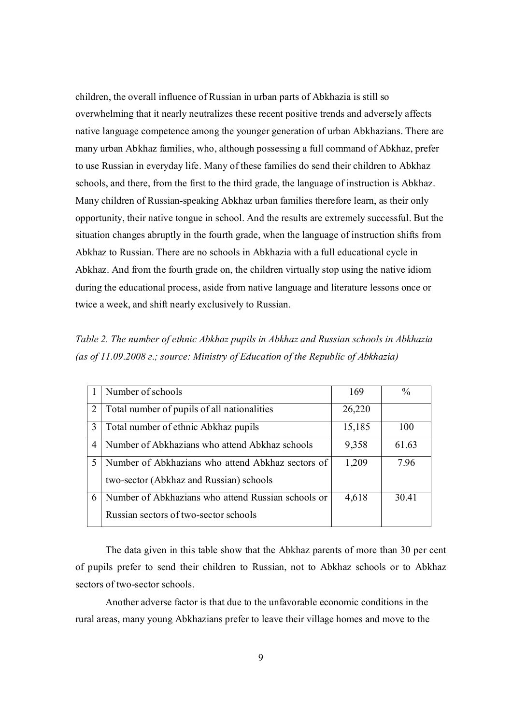children, the overall influence of Russian in urban parts of Abkhazia is still so overwhelming that it nearly neutralizes these recent positive trends and adversely affects native language competence among the younger generation of urban Abkhazians. There are many urban Abkhaz families, who, although possessing a full command of Abkhaz, prefer to use Russian in everyday life. Many of these families do send their children to Abkhaz schools, and there, from the first to the third grade, the language of instruction is Abkhaz. Many children of Russian-speaking Abkhaz urban families therefore learn, as their only opportunity, their native tongue in school. And the results are extremely successful. But the situation changes abruptly in the fourth grade, when the language of instruction shifts from Abkhaz to Russian. There are no schools in Abkhazia with a full educational cycle in Abkhaz. And from the fourth grade on, the children virtually stop using the native idiom during the educational process, aside from native language and literature lessons once or twice a week, and shift nearly exclusively to Russian.

*Table 2. The number of ethnic Abkhaz pupils in Abkhaz and Russian schools in Abkhazia (as of 11.09.2008 г.; source: Ministry of Education of the Republic of Abkhazia)*

|   | Number of schools                                  | 169    | $\%$  |
|---|----------------------------------------------------|--------|-------|
| 2 | Total number of pupils of all nationalities        | 26,220 |       |
| 3 | Total number of ethnic Abkhaz pupils               | 15,185 | 100   |
| 4 | Number of Abkhazians who attend Abkhaz schools     | 9,358  | 61.63 |
|   | Number of Abkhazians who attend Abkhaz sectors of  | 1,209  | 7.96  |
|   | two-sector (Abkhaz and Russian) schools            |        |       |
| 6 | Number of Abkhazians who attend Russian schools or | 4,618  | 30.41 |
|   | Russian sectors of two-sector schools              |        |       |

The data given in this table show that the Abkhaz parents of more than 30 per cent of pupils prefer to send their children to Russian, not to Abkhaz schools or to Abkhaz sectors of two-sector schools.

Another adverse factor is that due to the unfavorable economic conditions in the rural areas, many young Abkhazians prefer to leave their village homes and move to the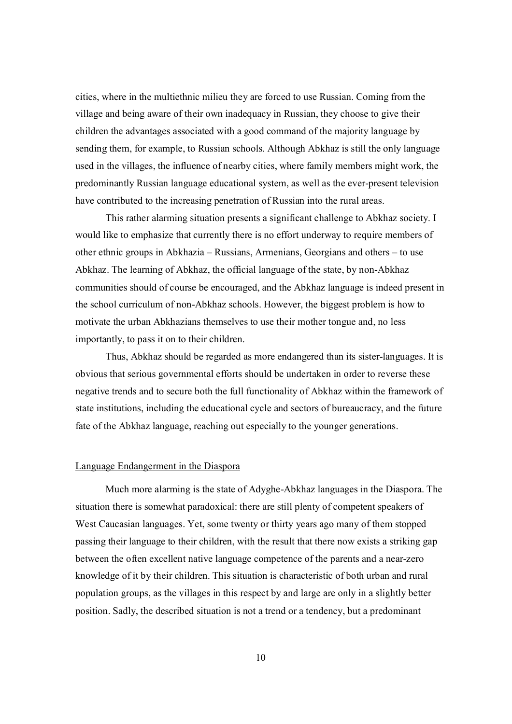cities, where in the multiethnic milieu they are forced to use Russian. Coming from the village and being aware of their own inadequacy in Russian, they choose to give their children the advantages associated with a good command of the majority language by sending them, for example, to Russian schools. Although Abkhaz is still the only language used in the villages, the influence of nearby cities, where family members might work, the predominantly Russian language educational system, as well as the ever-present television have contributed to the increasing penetration of Russian into the rural areas.

This rather alarming situation presents a significant challenge to Abkhaz society. I would like to emphasize that currently there is no effort underway to require members of other ethnic groups in Abkhazia – Russians, Armenians, Georgians and others – to use Abkhaz. The learning of Abkhaz, the official language of the state, by non-Abkhaz communities should of course be encouraged, and the Abkhaz language is indeed present in the school curriculum of non-Abkhaz schools. However, the biggest problem is how to motivate the urban Abkhazians themselves to use their mother tongue and, no less importantly, to pass it on to their children.

Thus, Abkhaz should be regarded as more endangered than its sister-languages. It is obvious that serious governmental efforts should be undertaken in order to reverse these negative trends and to secure both the full functionality of Abkhaz within the framework of state institutions, including the educational cycle and sectors of bureaucracy, and the future fate of the Abkhaz language, reaching out especially to the younger generations.

## Language Endangerment in the Diaspora

Much more alarming is the state of Adyghe-Abkhaz languages in the Diaspora. The situation there is somewhat paradoxical: there are still plenty of competent speakers of West Caucasian languages. Yet, some twenty or thirty years ago many of them stopped passing their language to their children, with the result that there now exists a striking gap between the often excellent native language competence of the parents and a near-zero knowledge of it by their children. This situation is characteristic of both urban and rural population groups, as the villages in this respect by and large are only in a slightly better position. Sadly, the described situation is not a trend or a tendency, but a predominant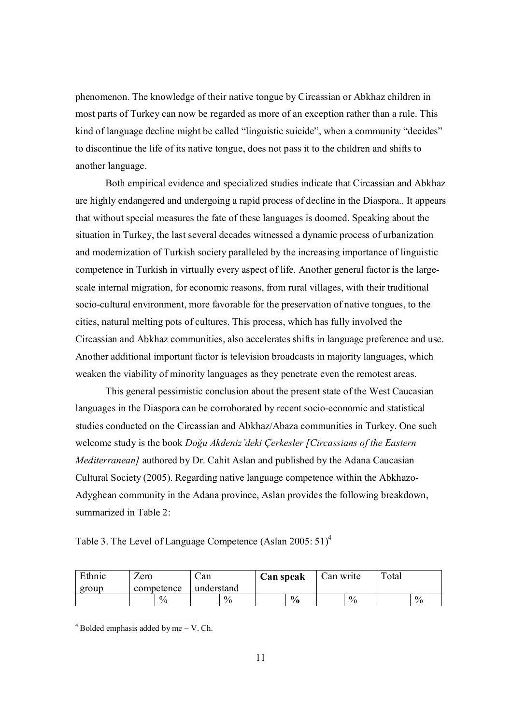phenomenon. The knowledge of their native tongue by Circassian or Abkhaz children in most parts of Turkey can now be regarded as more of an exception rather than a rule. This kind of language decline might be called "linguistic suicide", when a community "decides" to discontinue the life of its native tongue, does not pass it to the children and shifts to another language.

Both empirical evidence and specialized studies indicate that Circassian and Abkhaz are highly endangered and undergoing a rapid process of decline in the Diaspora.. It appears that without special measures the fate of these languages is doomed. Speaking about the situation in Turkey, the last several decades witnessed a dynamic process of urbanization and modernization of Turkish society paralleled by the increasing importance of linguistic competence in Turkish in virtually every aspect of life. Another general factor is the largescale internal migration, for economic reasons, from rural villages, with their traditional socio-cultural environment, more favorable for the preservation of native tongues, to the cities, natural melting pots of cultures. This process, which has fully involved the Circassian and Abkhaz communities, also accelerates shifts in language preference and use. Another additional important factor is television broadcasts in majority languages, which weaken the viability of minority languages as they penetrate even the remotest areas.

This general pessimistic conclusion about the present state of the West Caucasian languages in the Diaspora can be corroborated by recent socio-economic and statistical studies conducted on the Circassian and Abkhaz/Abaza communities in Turkey. One such welcome study is the book *Doğu Akdeniz'deki Çerkesler [Circassians of the Eastern Mediterranean]* authored by Dr. Cahit Aslan and published by the Adana Caucasian Cultural Society (2005). Regarding native language competence within the Abkhazo-Adyghean community in the Adana province, Aslan provides the following breakdown, summarized in Table 2:

Table 3. The Level of Language Competence (Aslan  $2005:51$ )<sup>4</sup>

| Ethnic | Zero       | ∵an        | Can speak     | Can write     | Total         |
|--------|------------|------------|---------------|---------------|---------------|
| group  | competence | understand |               |               |               |
|        | $\%$       | $\%$       | $\frac{1}{2}$ | $\frac{0}{0}$ | $\frac{0}{0}$ |

<sup>-</sup> $4$  Bolded emphasis added by me  $-$  V. Ch.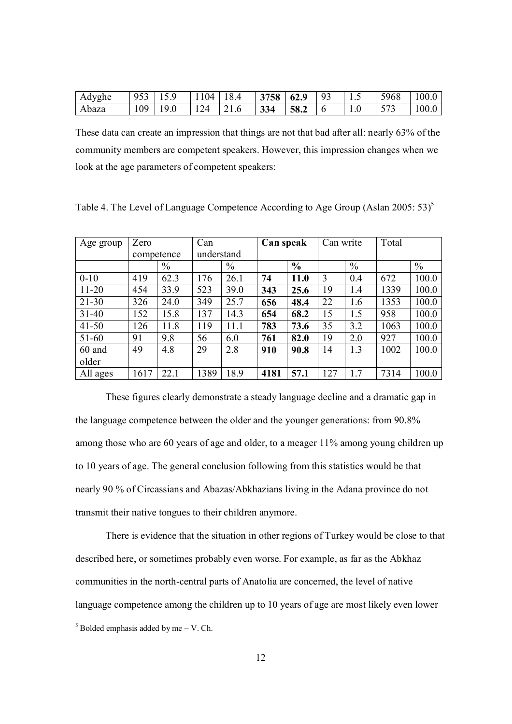| Adyghe | $953$ 15.9   | $1104$ 18.4 |     | 3758 62.9 93 |  | 5968 | 100.0 |
|--------|--------------|-------------|-----|--------------|--|------|-------|
| Abaza  | $109$   19.0 | $124$ 21.6  | 334 | $\vert$ 58.2 |  | 573  | 100.0 |

These data can create an impression that things are not that bad after all: nearly 63% of the community members are competent speakers. However, this impression changes when we look at the age parameters of competent speakers:

| Age group | Zero       |               | Can        |               | Can speak |               | Can write |               | Total |               |
|-----------|------------|---------------|------------|---------------|-----------|---------------|-----------|---------------|-------|---------------|
|           | competence |               | understand |               |           |               |           |               |       |               |
|           |            | $\frac{0}{0}$ |            | $\frac{0}{0}$ |           | $\frac{6}{6}$ |           | $\frac{0}{0}$ |       | $\frac{0}{0}$ |
| $0 - 10$  | 419        | 62.3          | 176        | 26.1          | 74        | 11.0          | 3         | 0.4           | 672   | 100.0         |
| $11 - 20$ | 454        | 33.9          | 523        | 39.0          | 343       | 25.6          | 19        | 1.4           | 1339  | 100.0         |
| $21 - 30$ | 326        | 24.0          | 349        | 25.7          | 656       | 48.4          | 22        | 1.6           | 1353  | 100.0         |
| $31 - 40$ | 152        | 15.8          | 137        | 14.3          | 654       | 68.2          | 15        | 1.5           | 958   | 100.0         |
| $41 - 50$ | 126        | 11.8          | 119        | 11.1          | 783       | 73.6          | 35        | 3.2           | 1063  | 100.0         |
| $51 - 60$ | 91         | 9.8           | 56         | 6.0           | 761       | 82.0          | 19        | 2.0           | 927   | 100.0         |
| 60 and    | 49         | 4.8           | 29         | 2.8           | 910       | 90.8          | 14        | 1.3           | 1002  | 100.0         |
| older     |            |               |            |               |           |               |           |               |       |               |
| All ages  | 1617       | 22.1          | 1389       | 18.9          | 4181      | 57.1          | 127       | 1.7           | 7314  | 100.0         |

Table 4. The Level of Language Competence According to Age Group (Aslan 2005: 53)<sup>5</sup>

These figures clearly demonstrate a steady language decline and a dramatic gap in the language competence between the older and the younger generations: from 90.8% among those who are 60 years of age and older, to a meager 11% among young children up to 10 years of age. The general conclusion following from this statistics would be that nearly 90 % of Circassians and Abazas/Abkhazians living in the Adana province do not transmit their native tongues to their children anymore.

There is evidence that the situation in other regions of Turkey would be close to that described here, or sometimes probably even worse. For example, as far as the Abkhaz communities in the north-central parts of Anatolia are concerned, the level of native language competence among the children up to 10 years of age are most likely even lower

-

 $<sup>5</sup>$  Bolded emphasis added by me – V. Ch.</sup>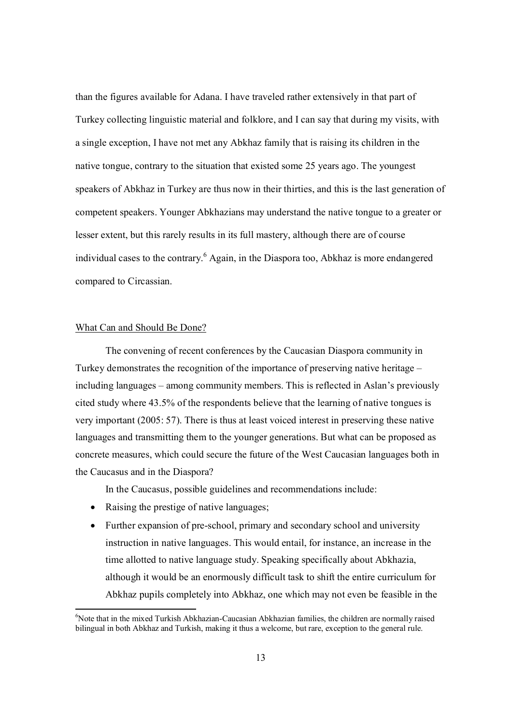than the figures available for Adana. I have traveled rather extensively in that part of Turkey collecting linguistic material and folklore, and I can say that during my visits, with a single exception, I have not met any Abkhaz family that is raising its children in the native tongue, contrary to the situation that existed some 25 years ago. The youngest speakers of Abkhaz in Turkey are thus now in their thirties, and this is the last generation of competent speakers. Younger Abkhazians may understand the native tongue to a greater or lesser extent, but this rarely results in its full mastery, although there are of course individual cases to the contrary.<sup>6</sup> Again, in the Diaspora too, Abkhaz is more endangered compared to Circassian.

#### What Can and Should Be Done?

-

The convening of recent conferences by the Caucasian Diaspora community in Turkey demonstrates the recognition of the importance of preserving native heritage – including languages – among community members. This is reflected in Aslan's previously cited study where 43.5% of the respondents believe that the learning of native tongues is very important (2005: 57). There is thus at least voiced interest in preserving these native languages and transmitting them to the younger generations. But what can be proposed as concrete measures, which could secure the future of the West Caucasian languages both in the Caucasus and in the Diaspora?

In the Caucasus, possible guidelines and recommendations include:

- Raising the prestige of native languages;
- Further expansion of pre-school, primary and secondary school and university instruction in native languages. This would entail, for instance, an increase in the time allotted to native language study. Speaking specifically about Abkhazia, although it would be an enormously difficult task to shift the entire curriculum for Abkhaz pupils completely into Abkhaz, one which may not even be feasible in the

 $6$ Note that in the mixed Turkish Abkhazian-Caucasian Abkhazian families, the children are normally raised bilingual in both Abkhaz and Turkish, making it thus a welcome, but rare, exception to the general rule.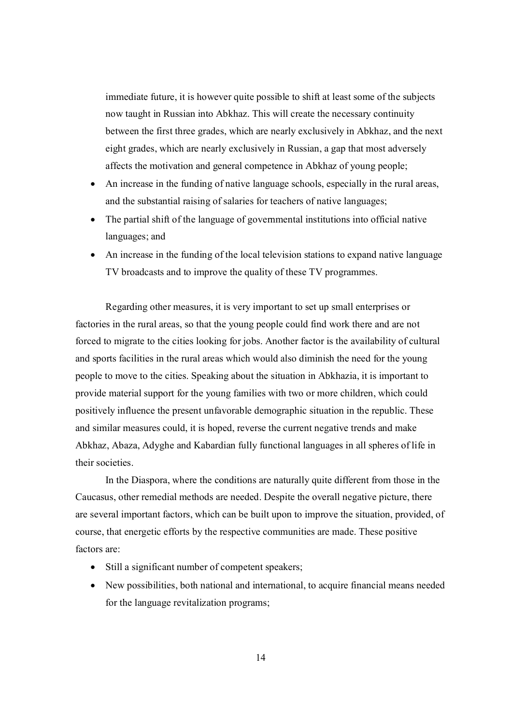immediate future, it is however quite possible to shift at least some of the subjects now taught in Russian into Abkhaz. This will create the necessary continuity between the first three grades, which are nearly exclusively in Abkhaz, and the next eight grades, which are nearly exclusively in Russian, a gap that most adversely affects the motivation and general competence in Abkhaz of young people;

- An increase in the funding of native language schools, especially in the rural areas, and the substantial raising of salaries for teachers of native languages;
- The partial shift of the language of governmental institutions into official native languages; and
- An increase in the funding of the local television stations to expand native language TV broadcasts and to improve the quality of these TV programmes.

Regarding other measures, it is very important to set up small enterprises or factories in the rural areas, so that the young people could find work there and are not forced to migrate to the cities looking for jobs. Another factor is the availability of cultural and sports facilities in the rural areas which would also diminish the need for the young people to move to the cities. Speaking about the situation in Abkhazia, it is important to provide material support for the young families with two or more children, which could positively influence the present unfavorable demographic situation in the republic. These and similar measures could, it is hoped, reverse the current negative trends and make Abkhaz, Abaza, Adyghe and Kabardian fully functional languages in all spheres of life in their societies.

In the Diaspora, where the conditions are naturally quite different from those in the Caucasus, other remedial methods are needed. Despite the overall negative picture, there are several important factors, which can be built upon to improve the situation, provided, of course, that energetic efforts by the respective communities are made. These positive factors are:

- Still a significant number of competent speakers;
- New possibilities, both national and international, to acquire financial means needed for the language revitalization programs;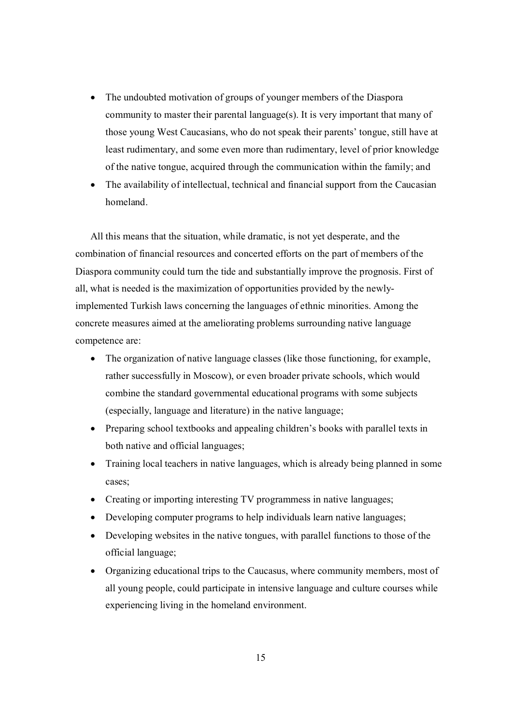- The undoubted motivation of groups of younger members of the Diaspora community to master their parental language(s). It is very important that many of those young West Caucasians, who do not speak their parents' tongue, still have at least rudimentary, and some even more than rudimentary, level of prior knowledge of the native tongue, acquired through the communication within the family; and
- The availability of intellectual, technical and financial support from the Caucasian homeland.

All this means that the situation, while dramatic, is not yet desperate, and the combination of financial resources and concerted efforts on the part of members of the Diaspora community could turn the tide and substantially improve the prognosis. First of all, what is needed is the maximization of opportunities provided by the newlyimplemented Turkish laws concerning the languages of ethnic minorities. Among the concrete measures aimed at the ameliorating problems surrounding native language competence are:

- The organization of native language classes (like those functioning, for example, rather successfully in Moscow), or even broader private schools, which would combine the standard governmental educational programs with some subjects (especially, language and literature) in the native language;
- Preparing school textbooks and appealing children's books with parallel texts in both native and official languages;
- Training local teachers in native languages, which is already being planned in some cases;
- Creating or importing interesting TV programmess in native languages;
- Developing computer programs to help individuals learn native languages;
- Developing websites in the native tongues, with parallel functions to those of the official language;
- Organizing educational trips to the Caucasus, where community members, most of all young people, could participate in intensive language and culture courses while experiencing living in the homeland environment.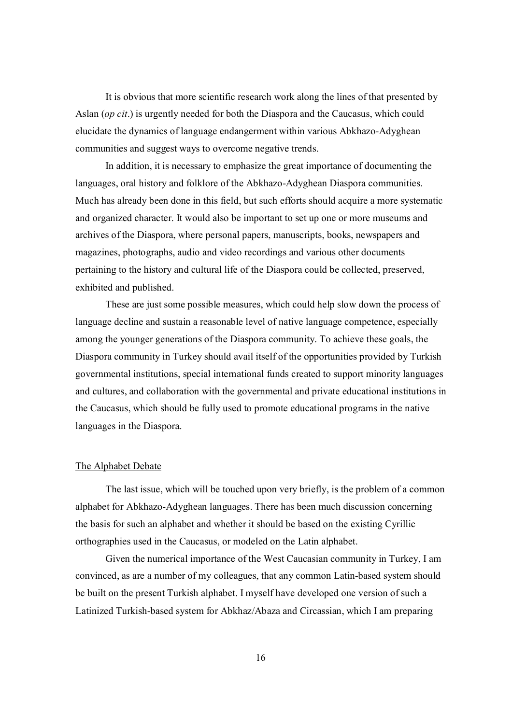It is obvious that more scientific research work along the lines of that presented by Aslan (*op cit*.) is urgently needed for both the Diaspora and the Caucasus, which could elucidate the dynamics of language endangerment within various Abkhazo-Adyghean communities and suggest ways to overcome negative trends.

In addition, it is necessary to emphasize the great importance of documenting the languages, oral history and folklore of the Abkhazo-Adyghean Diaspora communities. Much has already been done in this field, but such efforts should acquire a more systematic and organized character. It would also be important to set up one or more museums and archives of the Diaspora, where personal papers, manuscripts, books, newspapers and magazines, photographs, audio and video recordings and various other documents pertaining to the history and cultural life of the Diaspora could be collected, preserved, exhibited and published.

These are just some possible measures, which could help slow down the process of language decline and sustain a reasonable level of native language competence, especially among the younger generations of the Diaspora community. To achieve these goals, the Diaspora community in Turkey should avail itself of the opportunities provided by Turkish governmental institutions, special international funds created to support minority languages and cultures, and collaboration with the governmental and private educational institutions in the Caucasus, which should be fully used to promote educational programs in the native languages in the Diaspora.

## The Alphabet Debate

The last issue, which will be touched upon very briefly, is the problem of a common alphabet for Abkhazo-Adyghean languages. There has been much discussion concerning the basis for such an alphabet and whether it should be based on the existing Cyrillic orthographies used in the Caucasus, or modeled on the Latin alphabet.

Given the numerical importance of the West Caucasian community in Turkey, I am convinced, as are a number of my colleagues, that any common Latin-based system should be built on the present Turkish alphabet. I myself have developed one version of such a Latinized Turkish-based system for Abkhaz/Abaza and Circassian, which I am preparing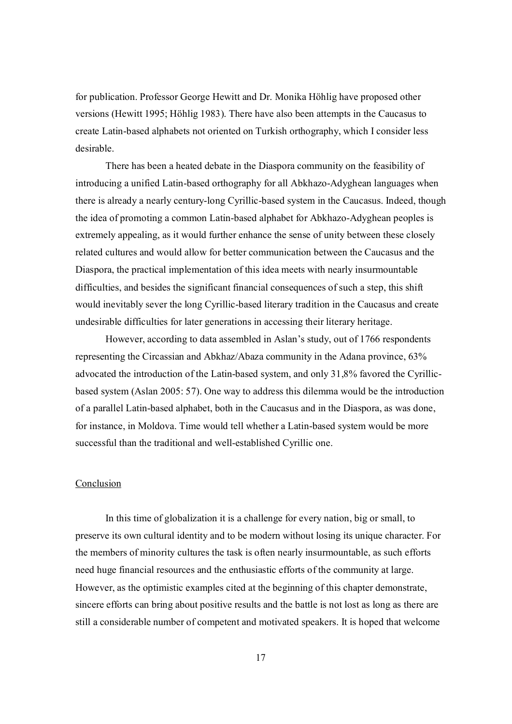for publication. Professor George Hewitt and Dr. Monika Höhlig have proposed other versions (Hewitt 1995; Höhlig 1983). There have also been attempts in the Caucasus to create Latin-based alphabets not oriented on Turkish orthography, which I consider less desirable.

There has been a heated debate in the Diaspora community on the feasibility of introducing a unified Latin-based orthography for all Abkhazo-Adyghean languages when there is already a nearly century-long Cyrillic-based system in the Caucasus. Indeed, though the idea of promoting a common Latin-based alphabet for Abkhazo-Adyghean peoples is extremely appealing, as it would further enhance the sense of unity between these closely related cultures and would allow for better communication between the Caucasus and the Diaspora, the practical implementation of this idea meets with nearly insurmountable difficulties, and besides the significant financial consequences of such a step, this shift would inevitably sever the long Cyrillic-based literary tradition in the Caucasus and create undesirable difficulties for later generations in accessing their literary heritage.

However, according to data assembled in Aslan's study, out of 1766 respondents representing the Circassian and Abkhaz/Abaza community in the Adana province, 63% advocated the introduction of the Latin-based system, and only 31,8% favored the Cyrillicbased system (Aslan 2005: 57). One way to address this dilemma would be the introduction of a parallel Latin-based alphabet, both in the Caucasus and in the Diaspora, as was done, for instance, in Moldova. Time would tell whether a Latin-based system would be more successful than the traditional and well-established Cyrillic one.

#### Conclusion

In this time of globalization it is a challenge for every nation, big or small, to preserve its own cultural identity and to be modern without losing its unique character. For the members of minority cultures the task is often nearly insurmountable, as such efforts need huge financial resources and the enthusiastic efforts of the community at large. However, as the optimistic examples cited at the beginning of this chapter demonstrate, sincere efforts can bring about positive results and the battle is not lost as long as there are still a considerable number of competent and motivated speakers. It is hoped that welcome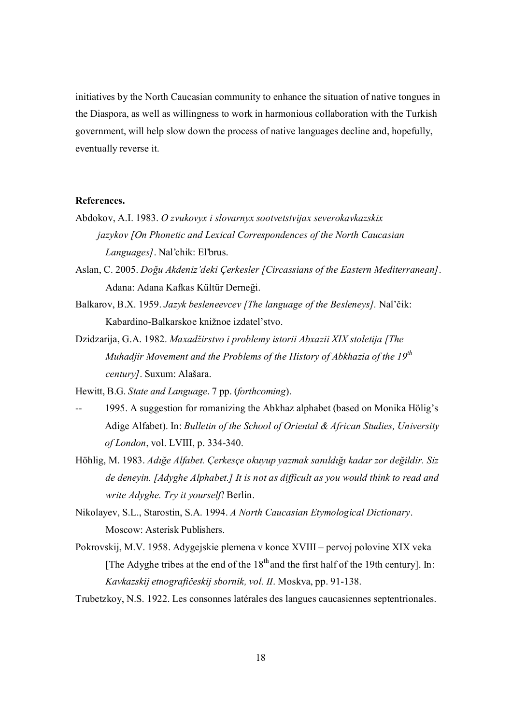initiatives by the North Caucasian community to enhance the situation of native tongues in the Diaspora, as well as willingness to work in harmonious collaboration with the Turkish government, will help slow down the process of native languages decline and, hopefully, eventually reverse it.

#### **References.**

- Abdokov, A.I. 1983. *O zvukovyx i slovarnyx sootvetstvijax severokavkazskix jazykov [On Phonetic and Lexical Correspondences of the North Caucasian Languages]*. Nal'chik: El'brus.
- Aslan, C. 2005. *Doğu Akdeniz'deki Çerkesler [Circassians of the Eastern Mediterranean]*. Adana: Adana Kafkas Kültür Derneği.
- Balkarov, B.X. 1959. *Jazyk besleneevcev [The language of the Besleneys].* Nal'čik: Kabardino-Balkarskoe knižnoe izdatel'stvo.
- Dzidzarija, G.A. 1982. *Maxadžirstvo i problemy istorii Abxazii XIX stoletija [The Muhadjir Movement and the Problems of the History of Abkhazia of the 19th century]*. Suxum: Alašara.

Hewitt, B.G. *State and Language*. 7 pp. (*forthcoming*).

- 1995. A suggestion for romanizing the Abkhaz alphabet (based on Monika Hölig's Adige Alfabet). In: *Bulletin of the School of Oriental & African Studies, University of London*, vol. LVIII, p. 334-340.
- Höhlig, M. 1983. *Adığe Alfabet. Çerkesçe okuyup yazmak sanıldığı kadar zor değildir. Siz de deneyin. [Adyghe Alphabet.] It is not as difficult as you would think to read and write Adyghe. Try it yourself!* Berlin.
- Nikolayev, S.L., Starostin, S.A. 1994. *A North Caucasian Etymological Dictionary*. Moscow: Asterisk Publishers.
- Pokrovskij, M.V. 1958. Adygejskie plemena v konce XVIII pervoj polovine XIX veka [The Adyghe tribes at the end of the  $18<sup>th</sup>$  and the first half of the 19th century]. In: *Kavkazskij etnografičeskij sbornik, vol. II*. Moskva, pp. 91-138.
- Trubetzkoy, N.S. 1922. Les consonnes latérales des langues caucasiennes septentrionales.